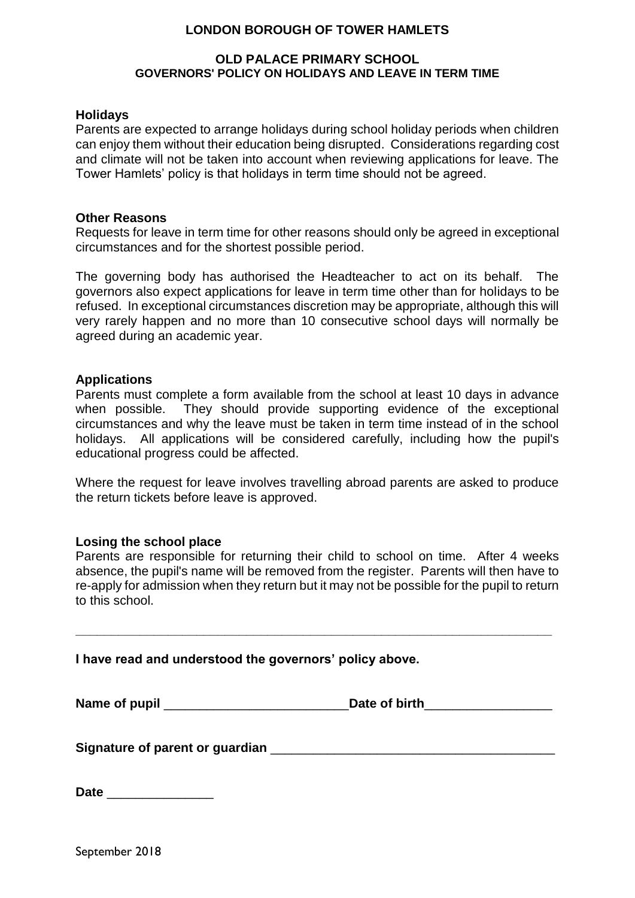### **LONDON BOROUGH OF TOWER HAMLETS**

#### **OLD PALACE PRIMARY SCHOOL GOVERNORS' POLICY ON HOLIDAYS AND LEAVE IN TERM TIME**

#### **Holidays**

Parents are expected to arrange holidays during school holiday periods when children can enjoy them without their education being disrupted. Considerations regarding cost and climate will not be taken into account when reviewing applications for leave. The Tower Hamlets' policy is that holidays in term time should not be agreed.

#### **Other Reasons**

Requests for leave in term time for other reasons should only be agreed in exceptional circumstances and for the shortest possible period.

The governing body has authorised the Headteacher to act on its behalf. The governors also expect applications for leave in term time other than for holidays to be refused. In exceptional circumstances discretion may be appropriate, although this will very rarely happen and no more than 10 consecutive school days will normally be agreed during an academic year.

#### **Applications**

Parents must complete a form available from the school at least 10 days in advance when possible. They should provide supporting evidence of the exceptional circumstances and why the leave must be taken in term time instead of in the school holidays. All applications will be considered carefully, including how the pupil's educational progress could be affected.

Where the request for leave involves travelling abroad parents are asked to produce the return tickets before leave is approved.

#### **Losing the school place**

Parents are responsible for returning their child to school on time. After 4 weeks absence, the pupil's name will be removed from the register. Parents will then have to re-apply for admission when they return but it may not be possible for the pupil to return to this school.

**I have read and understood the governors' policy above.**

Name of pupil **Name of pupil** and the set of birth

**\_\_\_\_\_\_\_\_\_\_\_\_\_\_\_\_\_\_\_\_\_\_\_\_\_\_\_\_\_\_\_\_\_\_\_\_\_\_\_\_\_\_\_\_\_\_\_\_\_\_\_\_\_\_\_\_\_\_\_\_\_\_\_\_\_\_\_**

**Signature of parent or guardian** \_\_\_\_\_\_\_\_\_\_\_\_\_\_\_\_\_\_\_\_\_\_\_\_\_\_\_\_\_\_\_\_\_\_\_\_\_\_\_\_

**Date** \_\_\_\_\_\_\_\_\_\_\_\_\_\_\_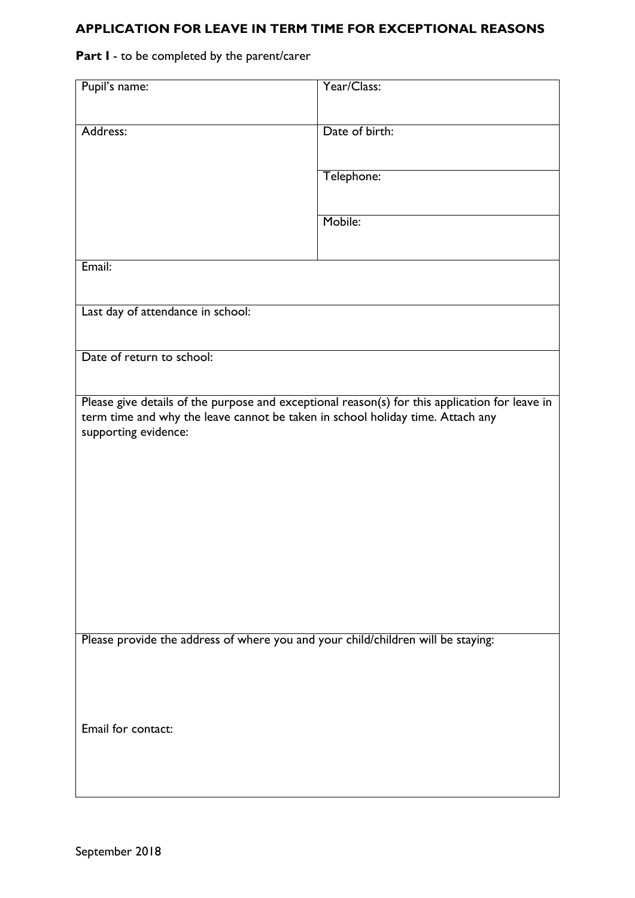## **APPLICATION FOR LEAVE IN TERM TIME FOR EXCEPTIONAL REASONS**

## **Part I** - to be completed by the parent/carer

| Pupil's name:                                                                    | Year/Class:                                                                                    |
|----------------------------------------------------------------------------------|------------------------------------------------------------------------------------------------|
| Address:                                                                         | Date of birth:                                                                                 |
|                                                                                  |                                                                                                |
|                                                                                  | Telephone:                                                                                     |
|                                                                                  | Mobile:                                                                                        |
|                                                                                  |                                                                                                |
| Email:                                                                           |                                                                                                |
| Last day of attendance in school:                                                |                                                                                                |
|                                                                                  |                                                                                                |
| Date of return to school:                                                        |                                                                                                |
|                                                                                  |                                                                                                |
|                                                                                  | Please give details of the purpose and exceptional reason(s) for this application for leave in |
| term time and why the leave cannot be taken in school holiday time. Attach any   |                                                                                                |
| supporting evidence:                                                             |                                                                                                |
|                                                                                  |                                                                                                |
|                                                                                  |                                                                                                |
|                                                                                  |                                                                                                |
|                                                                                  |                                                                                                |
|                                                                                  |                                                                                                |
|                                                                                  |                                                                                                |
|                                                                                  |                                                                                                |
|                                                                                  |                                                                                                |
|                                                                                  |                                                                                                |
|                                                                                  |                                                                                                |
|                                                                                  |                                                                                                |
| Please provide the address of where you and your child/children will be staying: |                                                                                                |
|                                                                                  |                                                                                                |
|                                                                                  |                                                                                                |
|                                                                                  |                                                                                                |
| Email for contact:                                                               |                                                                                                |
|                                                                                  |                                                                                                |
|                                                                                  |                                                                                                |
|                                                                                  |                                                                                                |